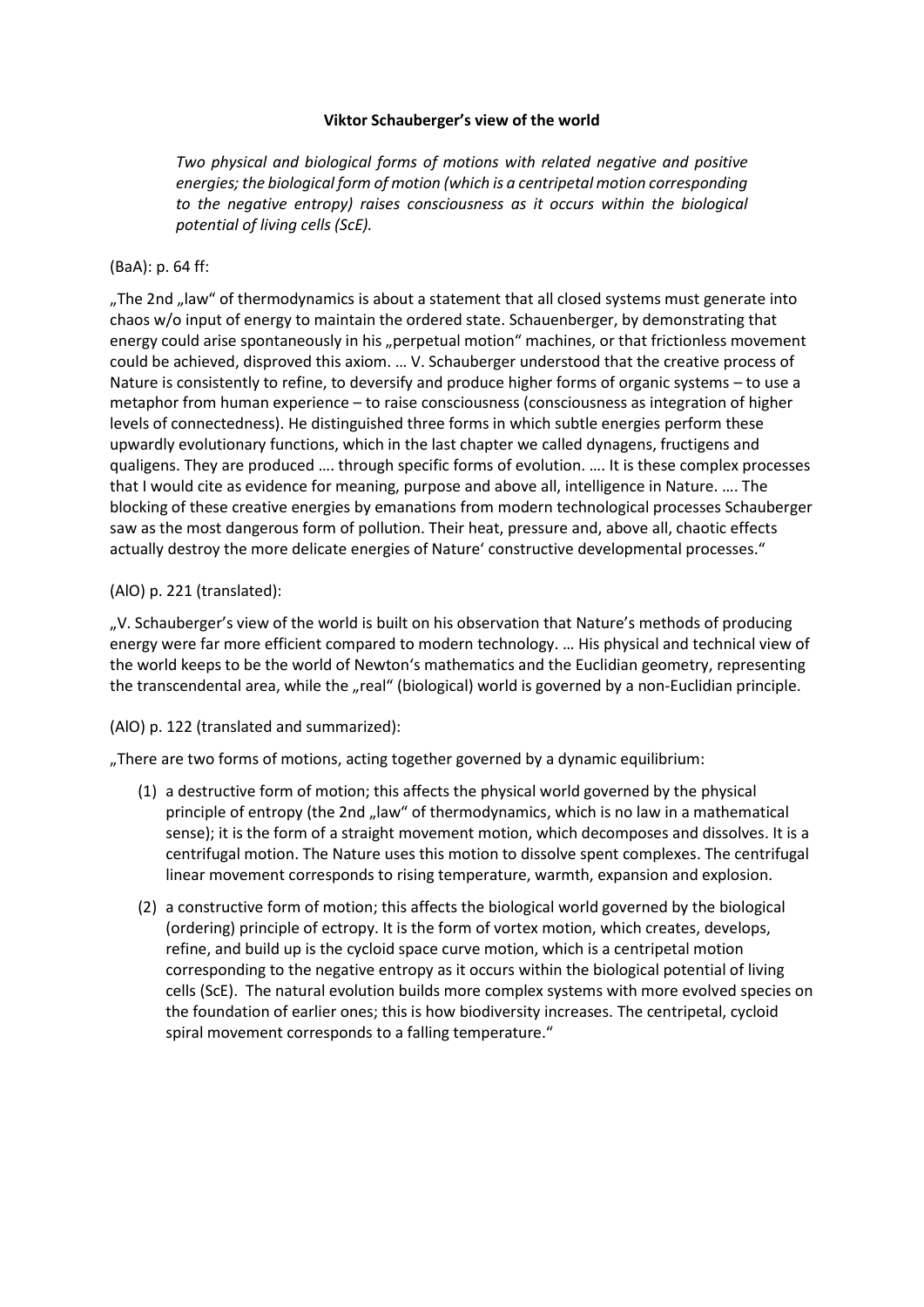# **Viktor Schauberger's view of the world**

*Two physical and biological forms of motions with related negative and positive energies; the biological form of motion (which is a centripetal motion corresponding to the negative entropy) raises consciousness as it occurs within the biological potential of living cells (ScE).*

# (BaA): p. 64 ff:

"The 2nd "law" of thermodynamics is about a statement that all closed systems must generate into chaos w/o input of energy to maintain the ordered state. Schauenberger, by demonstrating that energy could arise spontaneously in his "perpetual motion" machines, or that frictionless movement could be achieved, disproved this axiom. … V. Schauberger understood that the creative process of Nature is consistently to refine, to deversify and produce higher forms of organic systems – to use a metaphor from human experience – to raise consciousness (consciousness as integration of higher levels of connectedness). He distinguished three forms in which subtle energies perform these upwardly evolutionary functions, which in the last chapter we called dynagens, fructigens and qualigens. They are produced …. through specific forms of evolution. …. It is these complex processes that I would cite as evidence for meaning, purpose and above all, intelligence in Nature. …. The blocking of these creative energies by emanations from modern technological processes Schauberger saw as the most dangerous form of pollution. Their heat, pressure and, above all, chaotic effects actually destroy the more delicate energies of Nature' constructive developmental processes."

# (AlO) p. 221 (translated):

"V. Schauberger's view of the world is built on his observation that Nature's methods of producing energy were far more efficient compared to modern technology. … His physical and technical view of the world keeps to be the world of Newton's mathematics and the Euclidian geometry, representing the transcendental area, while the "real" (biological) world is governed by a non-Euclidian principle.

### (AlO) p. 122 (translated and summarized):

"There are two forms of motions, acting together governed by a dynamic equilibrium:

- (1) a destructive form of motion; this affects the physical world governed by the physical principle of entropy (the 2nd "law" of thermodynamics, which is no law in a mathematical sense); it is the form of a straight movement motion, which decomposes and dissolves. It is a centrifugal motion. The Nature uses this motion to dissolve spent complexes. The centrifugal linear movement corresponds to rising temperature, warmth, expansion and explosion.
- (2) a constructive form of motion; this affects the biological world governed by the biological (ordering) principle of ectropy. It is the form of vortex motion, which creates, develops, refine, and build up is the cycloid space curve motion, which is a centripetal motion corresponding to the negative entropy as it occurs within the biological potential of living cells (ScE). The natural evolution builds more complex systems with more evolved species on the foundation of earlier ones; this is how biodiversity increases. The centripetal, cycloid spiral movement corresponds to a falling temperature."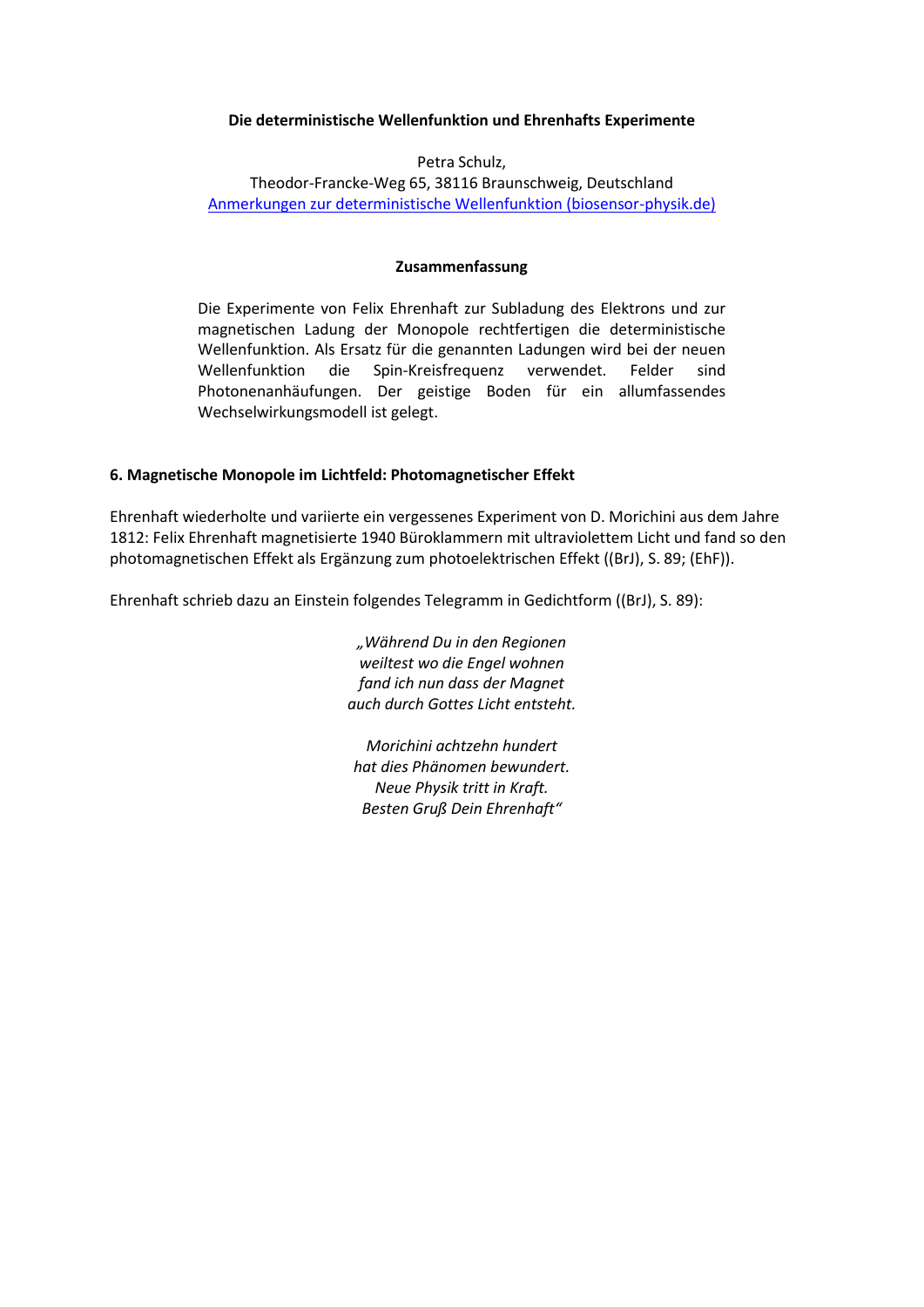### **Die deterministische Wellenfunktion und Ehrenhafts Experimente**

Petra Schulz,

Theodor-Francke-Weg 65, 38116 Braunschweig, Deutschland [Anmerkungen zur deterministische Wellenfunktion \(biosensor-physik.de\)](http://www.biosensor-physik.de/biosensor/schulz_det_wellenf_ehrenhaft1.pdf)

### **Zusammenfassung**

Die Experimente von Felix Ehrenhaft zur Subladung des Elektrons und zur magnetischen Ladung der Monopole rechtfertigen die deterministische Wellenfunktion. Als Ersatz für die genannten Ladungen wird bei der neuen Wellenfunktion die Spin-Kreisfrequenz verwendet. Felder sind Photonenanhäufungen. Der geistige Boden für ein allumfassendes Wechselwirkungsmodell ist gelegt.

### **6. Magnetische Monopole im Lichtfeld: Photomagnetischer Effekt**

Ehrenhaft wiederholte und variierte ein vergessenes Experiment von D. Morichini aus dem Jahre 1812: Felix Ehrenhaft magnetisierte 1940 Büroklammern mit ultraviolettem Licht und fand so den photomagnetischen Effekt als Ergänzung zum photoelektrischen Effekt ((BrJ), S. 89; (EhF)).

Ehrenhaft schrieb dazu an Einstein folgendes Telegramm in Gedichtform ((BrJ), S. 89):

*"Während Du in den Regionen weiltest wo die Engel wohnen fand ich nun dass der Magnet auch durch Gottes Licht entsteht.*

*Morichini achtzehn hundert hat dies Phänomen bewundert. Neue Physik tritt in Kraft. Besten Gruß Dein Ehrenhaft"*